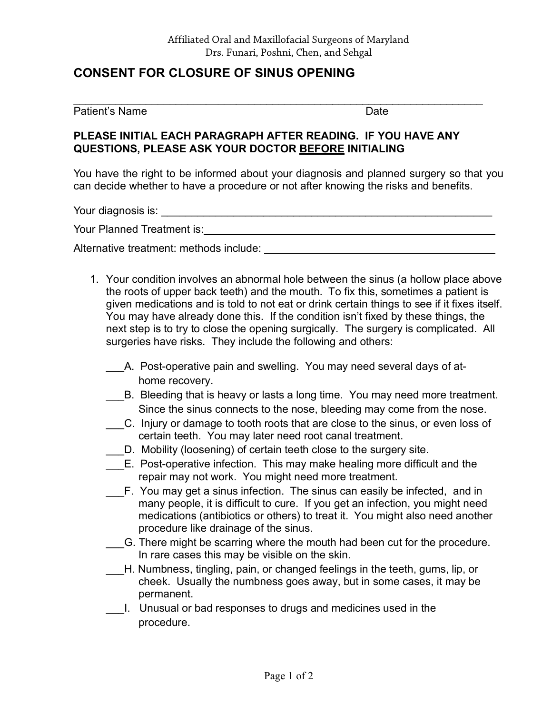# **CONSENT FOR CLOSURE OF SINUS OPENING**

#### Patient's Name Date

## **PLEASE INITIAL EACH PARAGRAPH AFTER READING. IF YOU HAVE ANY QUESTIONS, PLEASE ASK YOUR DOCTOR BEFORE INITIALING**

 $\_$  , and the contribution of the contribution of  $\mathcal{L}_\mathcal{A}$  , and the contribution of  $\mathcal{L}_\mathcal{A}$ 

You have the right to be informed about your diagnosis and planned surgery so that you can decide whether to have a procedure or not after knowing the risks and benefits.

Your diagnosis is: \_\_\_\_\_\_\_\_\_\_\_\_\_\_\_\_\_\_\_\_\_\_\_\_\_\_\_\_\_\_\_\_\_\_\_\_\_\_\_\_\_\_\_\_\_\_\_\_\_\_\_\_\_\_\_

Your Planned Treatment is:

Alternative treatment: methods include:

- 1. Your condition involves an abnormal hole between the sinus (a hollow place above the roots of upper back teeth) and the mouth. To fix this, sometimes a patient is given medications and is told to not eat or drink certain things to see if it fixes itself. You may have already done this. If the condition isn't fixed by these things, the next step is to try to close the opening surgically. The surgery is complicated. All surgeries have risks. They include the following and others:
	- A. Post-operative pain and swelling. You may need several days of athome recovery.
	- B. Bleeding that is heavy or lasts a long time. You may need more treatment. Since the sinus connects to the nose, bleeding may come from the nose.
	- \_\_\_C. Injury or damage to tooth roots that are close to the sinus, or even loss of certain teeth. You may later need root canal treatment.
	- D. Mobility (loosening) of certain teeth close to the surgery site.
	- E. Post-operative infection. This may make healing more difficult and the repair may not work. You might need more treatment.
	- F. You may get a sinus infection. The sinus can easily be infected, and in many people, it is difficult to cure. If you get an infection, you might need medications (antibiotics or others) to treat it. You might also need another procedure like drainage of the sinus.
	- \_\_\_G. There might be scarring where the mouth had been cut for the procedure. In rare cases this may be visible on the skin.
	- \_\_\_H. Numbness, tingling, pain, or changed feelings in the teeth, gums, lip, or cheek. Usually the numbness goes away, but in some cases, it may be permanent.
	- \_\_\_I. Unusual or bad responses to drugs and medicines used in the procedure.